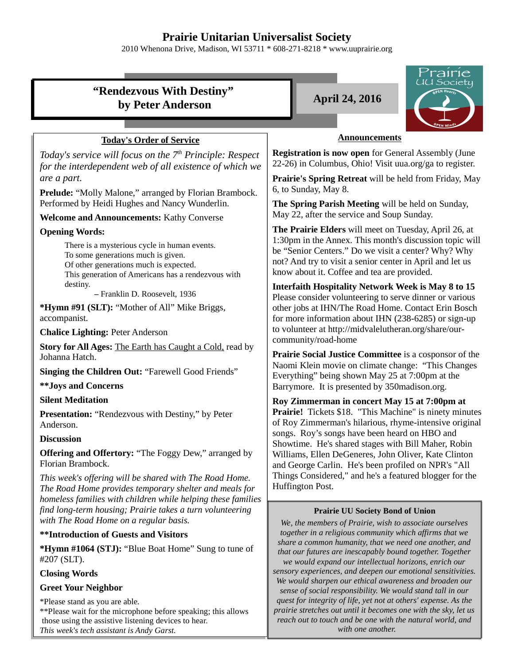# **Prairie Unitarian Universalist Society**

2010 Whenona Drive, Madison, WI 53711 \* 608-271-8218 \* www.uuprairie.org



*This week's tech assistant is Andy Garst.*